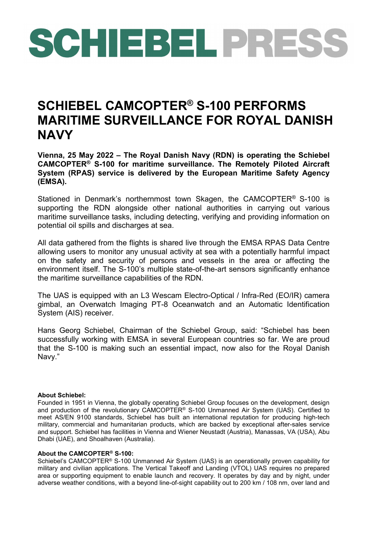## SCHIEBEL PRESS

## **SCHIEBEL CAMCOPTER® S-100 PERFORMS MARITIME SURVEILLANCE FOR ROYAL DANISH NAVY**

**Vienna, 25 May 2022 – The Royal Danish Navy (RDN) is operating the Schiebel CAMCOPTER® S-100 for maritime surveillance. The Remotely Piloted Aircraft System (RPAS) service is delivered by the European Maritime Safety Agency (EMSA).**

Stationed in Denmark's northernmost town Skagen, the CAMCOPTER® S-100 is supporting the RDN alongside other national authorities in carrying out various maritime surveillance tasks, including detecting, verifying and providing information on potential oil spills and discharges at sea.

All data gathered from the flights is shared live through the EMSA RPAS Data Centre allowing users to monitor any unusual activity at sea with a potentially harmful impact on the safety and security of persons and vessels in the area or affecting the environment itself. The S-100's multiple state-of-the-art sensors significantly enhance the maritime surveillance capabilities of the RDN.

The UAS is equipped with an L3 Wescam Electro-Optical / Infra-Red (EO/IR) camera gimbal, an Overwatch Imaging PT-8 Oceanwatch and an Automatic Identification System (AIS) receiver.

Hans Georg Schiebel, Chairman of the Schiebel Group, said: "Schiebel has been successfully working with EMSA in several European countries so far. We are proud that the S-100 is making such an essential impact, now also for the Royal Danish Navy."

## **About Schiebel:**

Founded in 1951 in Vienna, the globally operating Schiebel Group focuses on the development, design and production of the revolutionary CAMCOPTER® S-100 Unmanned Air System (UAS). Certified to meet AS/EN 9100 standards, Schiebel has built an international reputation for producing high-tech military, commercial and humanitarian products, which are backed by exceptional after-sales service and support. Schiebel has facilities in Vienna and Wiener Neustadt (Austria), Manassas, VA (USA), Abu Dhabi (UAE), and Shoalhaven (Australia).

## **About the CAMCOPTER® S-100:**

Schiebel's CAMCOPTER® S-100 Unmanned Air System (UAS) is an operationally proven capability for military and civilian applications. The Vertical Takeoff and Landing (VTOL) UAS requires no prepared area or supporting equipment to enable launch and recovery. It operates by day and by night, under adverse weather conditions, with a beyond line-of-sight capability out to 200 km / 108 nm, over land and